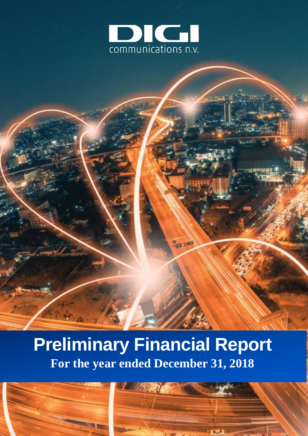

# **Preliminary Financial Report For the year ended December 31, 2018**

es vo



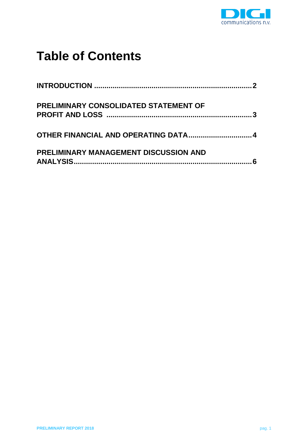

# **Table of Contents**

| <b>PRELIMINARY CONSOLIDATED STATEMENT OF</b> |  |
|----------------------------------------------|--|
| OTHER FINANCIAL AND OPERATING DATA 4         |  |
| <b>PRELIMINARY MANAGEMENT DISCUSSION AND</b> |  |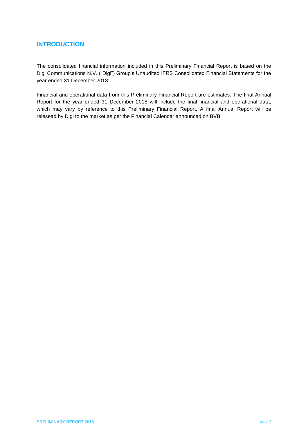# <span id="page-2-0"></span>**INTRODUCTION**

The consolidated financial information included in this Preliminary Financial Report is based on the Digi Communications N.V. ("Digi") Group's Unaudited IFRS Consolidated Financial Statements for the year ended 31 December 2018.

Financial and operational data from this Preliminary Financial Report are estimates. The final Annual Report for the year ended 31 December 2018 will include the final financial and operational data, which may vary by reference to this Preliminary Financial Report. A final Annual Report will be relesead by Digi to the market as per the Financial Calendar announced on BVB.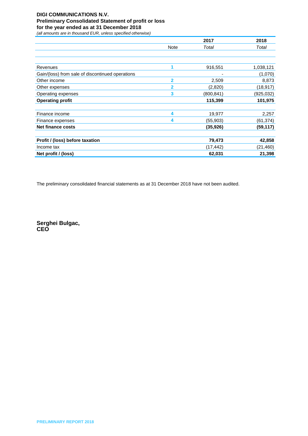### **DIGI COMMUNICATIONS N.V. Preliminary Consolidated Statement of profit or loss for the year ended as at 31 December 2018**

*(all amounts are in thousand EUR, unless specified otherwise)*

<span id="page-3-0"></span>

|                                                  |             | 2017      | 2018      |
|--------------------------------------------------|-------------|-----------|-----------|
|                                                  | <b>Note</b> | Total     | Total     |
|                                                  |             |           |           |
|                                                  |             |           |           |
| Revenues                                         | 1           | 916,551   | 1,038,121 |
| Gain/(loss) from sale of discontinued operations |             |           | (1,070)   |
| Other income                                     | 2           | 2,509     | 8,873     |
| Other expenses                                   | 2           | (2,820)   | (18, 917) |
| Operating expenses                               | 3           | (800,841) | (925,032) |
| <b>Operating profit</b>                          |             | 115,399   | 101,975   |
|                                                  |             |           |           |
| Finance income                                   | 4           | 19,977    | 2,257     |
| Finance expenses                                 | 4           | (55, 903) | (61, 374) |
| <b>Net finance costs</b>                         |             | (35, 926) | (59, 117) |
|                                                  |             |           |           |
| Profit / (loss) before taxation                  |             | 79,473    | 42,858    |
| Income tax                                       |             | (17,442)  | (21, 460) |
| Net profit / (loss)                              |             | 62,031    | 21,398    |

The preliminary consolidated financial statements as at 31 December 2018 have not been audited.

**Serghei Bulgac, CEO**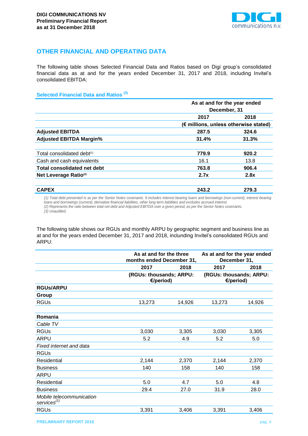

# <span id="page-4-0"></span>**OTHER FINANCIAL AND OPERATING DATA**

The following table shows Selected Financial Data and Ratios based on Digi group's consolidated financial data as at and for the years ended December 31, 2017 and 2018, including Invitel's consolidated EBITDA:

**Selected Financial Data and Ratios (3)**

|                                   | As at and for the year ended<br>December, 31 |                                       |  |  |
|-----------------------------------|----------------------------------------------|---------------------------------------|--|--|
|                                   |                                              |                                       |  |  |
|                                   | 2017                                         | 2018                                  |  |  |
|                                   |                                              | (€ millions, unless otherwise stated) |  |  |
| <b>Adjusted EBITDA</b>            | 287.5                                        | 324.6                                 |  |  |
| <b>Adjusted EBITDA Margin%</b>    | 31.4%                                        | 31.3%                                 |  |  |
| Total consolidated debt(1)        | 779.9                                        | 920.2                                 |  |  |
| Cash and cash equivalents         | 16.1                                         | 13.8                                  |  |  |
| Total consolidated net debt       | 763.8                                        | 906.4                                 |  |  |
| Net Leverage Ratio <sup>(2)</sup> | 2.7x                                         | 2.8x                                  |  |  |
| <b>CAPEX</b>                      | 243.2                                        | 279.3                                 |  |  |

(1) Total debt presented is as per the Senior Notes covenants. It includes interest bearing loans and borrowings (non-current), interest bearing *loans and borrowings (current), derivative financial liabilities, other long term liabilities and excludes accrued interest. (2) Represents the ratio between total net debt and Adjusted EBITDA over a given period, as per the Senior Notes covenants. (3) Unaudited.*

The following table shows our RGUs and monthly ARPU by geographic segment and business line as at and for the years ended December 31, 2017 and 2018, inclunding Invitel's consolidated RGUs and ARPU:

|                                                     | As at and for the three<br>months ended December 31, |        | As at and for the year ended<br>December 31, |        |
|-----------------------------------------------------|------------------------------------------------------|--------|----------------------------------------------|--------|
|                                                     | 2017                                                 | 2018   | 2017                                         | 2018   |
|                                                     | (RGUs: thousands; ARPU:<br>€/period)                 |        | (RGUs: thousands; ARPU:<br>€/period)         |        |
| <b>RGUS/ARPU</b>                                    |                                                      |        |                                              |        |
| Group                                               |                                                      |        |                                              |        |
| <b>RGUs</b>                                         | 13,273                                               | 14,926 | 13,273                                       | 14,926 |
| Romania                                             |                                                      |        |                                              |        |
| Cable TV                                            |                                                      |        |                                              |        |
| <b>RGUs</b>                                         | 3,030                                                | 3,305  | 3,030                                        | 3,305  |
| <b>ARPU</b>                                         | 5.2                                                  | 4.9    | 5.2                                          | 5.0    |
| Fixed internet and data                             |                                                      |        |                                              |        |
| <b>RGUs</b>                                         |                                                      |        |                                              |        |
| Residential                                         | 2,144                                                | 2,370  | 2,144                                        | 2,370  |
| <b>Business</b>                                     | 140                                                  | 158    | 140                                          | 158    |
| ARPU                                                |                                                      |        |                                              |        |
| Residential                                         | 5.0                                                  | 4.7    | 5.0                                          | 4.8    |
| <b>Business</b>                                     | 29.4                                                 | 27.0   | 31.9                                         | 28.0   |
| Mobile telecommunication<br>services <sup>(1)</sup> |                                                      |        |                                              |        |
| <b>RGUs</b>                                         | 3,391                                                | 3,406  | 3,391                                        | 3,406  |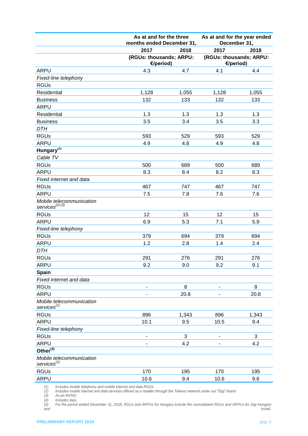|                                                     | As at and for the three<br>months ended December 31, |                | As at and for the year ended<br>December 31, |       |
|-----------------------------------------------------|------------------------------------------------------|----------------|----------------------------------------------|-------|
|                                                     | 2017                                                 | 2018           | 2017                                         | 2018  |
|                                                     | (RGUs: thousands; ARPU:<br>€/period)                 |                | (RGUs: thousands; ARPU:<br>€/period)         |       |
| ARPU                                                | 4.3                                                  | 4.7            | 4.1                                          | 4.4   |
| Fixed-line telephony                                |                                                      |                |                                              |       |
| <b>RGUs</b>                                         |                                                      |                |                                              |       |
| Residential                                         | 1,128                                                | 1,055          | 1,128                                        | 1,055 |
| <b>Business</b>                                     | 132                                                  | 133            | 132                                          | 133   |
| <b>ARPU</b>                                         |                                                      |                |                                              |       |
| Residential                                         | 1.3                                                  | 1.3            | 1.3                                          | 1.3   |
| <b>Business</b>                                     | 3.5                                                  | 3.4            | 3.5                                          | 3.3   |
| <b>DTH</b>                                          |                                                      |                |                                              |       |
| <b>RGUs</b>                                         | 593                                                  | 529            | 593                                          | 529   |
| <b>ARPU</b>                                         | 4.9                                                  | 4.8            | 4.9                                          | 4.8   |
| Hungary <sup>(5)</sup>                              |                                                      |                |                                              |       |
| Cable TV                                            |                                                      |                |                                              |       |
| <b>RGUs</b>                                         | 500                                                  | 689            | 500                                          | 689   |
| <b>ARPU</b>                                         | 8.3                                                  | 8.4            | 8.2                                          | 8.3   |
| Fixed internet and data                             |                                                      |                |                                              |       |
| <b>RGUs</b>                                         | 467                                                  | 747            | 467                                          | 747   |
| <b>ARPU</b>                                         | 7.5                                                  | 7.8            | 7.6                                          | 7.6   |
| Mobile telecommunication<br>services $^{(2) (3)}$   |                                                      |                |                                              |       |
| <b>RGUs</b>                                         | 12                                                   | 15             | 12                                           | 15    |
| <b>ARPU</b>                                         | 6.9                                                  | 5.3            | 7.1                                          | 5.9   |
| Fixed-line telephony                                |                                                      |                |                                              |       |
| <b>RGUs</b>                                         | 379                                                  | 694            | 379                                          | 694   |
| <b>ARPU</b>                                         | 1.2                                                  | 2.8            | 1.4                                          | 2.4   |
| <b>DTH</b>                                          |                                                      |                |                                              |       |
| <b>RGUs</b>                                         | 291                                                  | 276            | 291                                          | 276   |
| <b>ARPU</b>                                         | 9.2                                                  | 9.0            | 9.2                                          | 9.1   |
| <b>Spain</b>                                        |                                                      |                |                                              |       |
| Fixed internet and data                             |                                                      |                |                                              |       |
| <b>RGUs</b>                                         |                                                      | 8              |                                              | 8     |
| <b>ARPU</b>                                         |                                                      | 20.8           |                                              | 20.8  |
| Mobile telecommunication<br>services $(1)$          |                                                      |                |                                              |       |
| <b>RGUs</b>                                         | 896                                                  | 1,343          | 896                                          | 1,343 |
| <b>ARPU</b>                                         | 10.1                                                 | 9.5            | 10.5                                         | 9.4   |
| Fixed-line telephony                                |                                                      |                |                                              |       |
| <b>RGUs</b>                                         | $\overline{\phantom{a}}$                             | $\mathfrak{S}$ | $\overline{\phantom{0}}$                     | 3     |
| <b>ARPU</b>                                         |                                                      | 4.2            |                                              | 4.2   |
| Other $(4)$                                         |                                                      |                |                                              |       |
| Mobile telecommunication<br>services <sup>(1)</sup> |                                                      |                |                                              |       |
| <b>RGUs</b>                                         | 170                                                  | 195            | 170                                          | 195   |
| <b>ARPU</b>                                         | 10.6                                                 | 9.4            | 10.6                                         | 9.6   |

*(1) Includes mobile telephony and mobile internet and data RGUs*

*(2) Includes mobile internet and data services offered as a reseller through the Telenor network under our "Digi" brand.* 

*(3) As an MVNO.* 

*(4) Includes Italy.* 

*(5) For the period ended December 31, 2018, RGUs and ARPUs for Hungary include the consolidated RGUs and ARPUs for Digi Hungary and Invitel.*